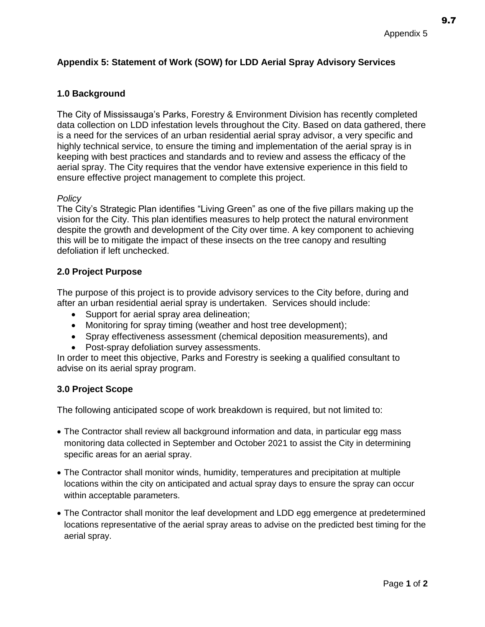9.7

# **Appendix 5: Statement of Work (SOW) for LDD Aerial Spray Advisory Services**

# **1.0 Background**

The City of Mississauga's Parks, Forestry & Environment Division has recently completed data collection on LDD infestation levels throughout the City. Based on data gathered, there is a need for the services of an urban residential aerial spray advisor, a very specific and highly technical service, to ensure the timing and implementation of the aerial spray is in keeping with best practices and standards and to review and assess the efficacy of the aerial spray. The City requires that the vendor have extensive experience in this field to ensure effective project management to complete this project.

### *Policy*

The City's Strategic Plan identifies "Living Green" as one of the five pillars making up the vision for the City. This plan identifies measures to help protect the natural environment despite the growth and development of the City over time. A key component to achieving this will be to mitigate the impact of these insects on the tree canopy and resulting defoliation if left unchecked.

## **2.0 Project Purpose**

The purpose of this project is to provide advisory services to the City before, during and after an urban residential aerial spray is undertaken. Services should include:

- Support for aerial spray area delineation;
- Monitoring for spray timing (weather and host tree development);
- Spray effectiveness assessment (chemical deposition measurements), and
- Post-spray defoliation survey assessments.

In order to meet this objective, Parks and Forestry is seeking a qualified consultant to advise on its aerial spray program.

### **3.0 Project Scope**

The following anticipated scope of work breakdown is required, but not limited to:

- The Contractor shall review all background information and data, in particular egg mass monitoring data collected in September and October 2021 to assist the City in determining specific areas for an aerial spray.
- The Contractor shall monitor winds, humidity, temperatures and precipitation at multiple locations within the city on anticipated and actual spray days to ensure the spray can occur within acceptable parameters.
- The Contractor shall monitor the leaf development and LDD egg emergence at predetermined locations representative of the aerial spray areas to advise on the predicted best timing for the aerial spray.